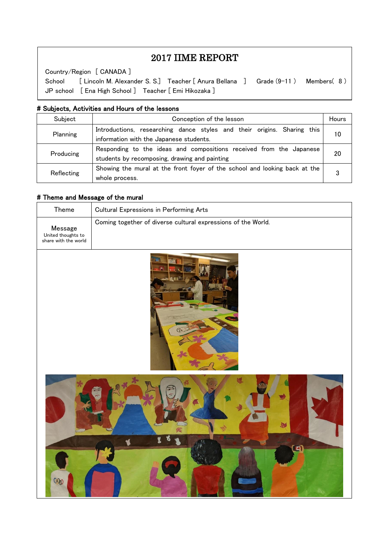# 2017 IIME REPORT

Country/Region [ CANADA ]

 $\overline{\phantom{a}}$  $\overline{\phantom{a}}$  $\overline{\phantom{a}}$ 

 $\overline{\phantom{a}}$  $\overline{a}$ 

School [ Lincoln M. Alexander S. S.] Teacher [ Anura Bellana ] Grade (9-11 ) Members( 8 ) JP school [ Ena High School ] Teacher [ Emi Hikozaka ]

#### # Subjects, Activities and Hours of the lessons

| Subject    | Conception of the lesson                                                                                             |    |
|------------|----------------------------------------------------------------------------------------------------------------------|----|
| Planning   | Introductions, researching dance styles and their origins. Sharing this<br>information with the Japanese students.   | 10 |
| Producing  | Responding to the ideas and compositions received from the Japanese<br>students by recomposing, drawing and painting |    |
| Reflecting | Showing the mural at the front foyer of the school and looking back at the  <br>whole process.                       |    |

## # Theme and Message of the mural

| Theme                                                 | <b>Cultural Expressions in Performing Arts</b>                |  |  |
|-------------------------------------------------------|---------------------------------------------------------------|--|--|
| Message<br>United thoughts to<br>share with the world | Coming together of diverse cultural expressions of the World. |  |  |
|                                                       |                                                               |  |  |
| <b>ODD</b>                                            | Jn<br>n                                                       |  |  |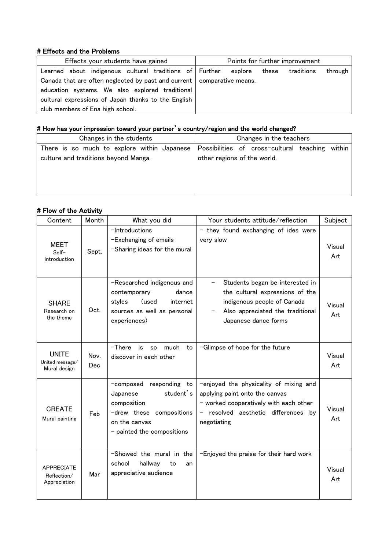## # Effects and the Problems

| Effects your students have gained                                        | Points for further improvement            |
|--------------------------------------------------------------------------|-------------------------------------------|
| Learned about indigenous cultural traditions of Further                  | through<br>explore<br>traditions<br>these |
| Canada that are often neglected by past and current   comparative means. |                                           |
| education systems. We also explored traditional                          |                                           |
| cultural expressions of Japan thanks to the English                      |                                           |
| club members of Ena high school.                                         |                                           |

# # How has your impression toward your partner's country/region and the world changed?

| Changes in the students                     | Changes in the teachers                            |  |  |
|---------------------------------------------|----------------------------------------------------|--|--|
| There is so much to explore within Japanese | Possibilities of cross-cultural teaching<br>within |  |  |
| culture and traditions beyond Manga.        | other regions of the world.                        |  |  |
|                                             |                                                    |  |  |
|                                             |                                                    |  |  |
|                                             |                                                    |  |  |
|                                             |                                                    |  |  |

### # Flow of the Activity

| Content                                          | Month        | What you did                                                                                                                                  | Your students attitude/reflection                                                                                                                                      | Subject       |
|--------------------------------------------------|--------------|-----------------------------------------------------------------------------------------------------------------------------------------------|------------------------------------------------------------------------------------------------------------------------------------------------------------------------|---------------|
| <b>MEET</b><br>Self-<br>introduction             | Sept,        | -Introductions<br>-Exchanging of emails<br>-Sharing ideas for the mural                                                                       | - they found exchanging of ides were<br>very slow                                                                                                                      | Visual<br>Art |
| <b>SHARE</b><br>Research on<br>the theme         | Oct.         | -Researched indigenous and<br>contemporary<br>dance<br>styles<br>(used<br>internet<br>sources as well as personal<br>experiences)             | Students began be interested in<br>the cultural expressions of the<br>indigenous people of Canada<br>Also appreciated the traditional<br>Japanese dance forms          | Visual<br>Art |
| <b>UNITE</b><br>United message/<br>Mural design  | Nov.<br>Dec. | $-$ There<br>much<br>is is<br>to<br>so<br>discover in each other                                                                              | -Glimpse of hope for the future                                                                                                                                        | Visual<br>Art |
| <b>CREATE</b><br>Mural painting                  | Feb          | responding to<br>-composed<br>student's<br>Japanese<br>composition<br>-drew these compositions<br>on the canvas<br>- painted the compositions | -enjoyed the physicality of mixing and<br>applying paint onto the canvas<br>- worked cooperatively with each other<br>resolved aesthetic differences by<br>negotiating | Visual<br>Art |
| <b>APPRECIATE</b><br>Reflection/<br>Appreciation | Mar          | -Showed the mural in the<br>hallway<br>school<br>to<br>an<br>appreciative audience                                                            | -Enjoyed the praise for their hard work                                                                                                                                | Visual<br>Art |